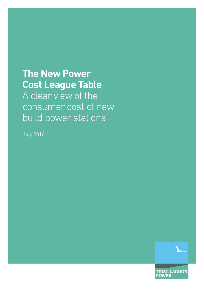### **The New Power Cost League Table**

A clear view of the consumer cost of new build power stations

July 2016



**TIDAL LAGOON POWER**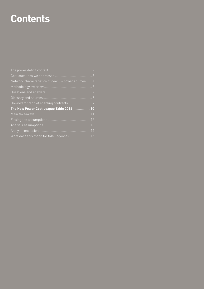### **Contents**

| Network characteristics of new UK power sources 4 |  |
|---------------------------------------------------|--|
|                                                   |  |
|                                                   |  |
|                                                   |  |
| Downward trend of enabling contracts  9           |  |
| The New Power Cost League Table 2016  10          |  |
|                                                   |  |
|                                                   |  |
|                                                   |  |
|                                                   |  |
| What does this mean for tidal lagoons? 15         |  |
|                                                   |  |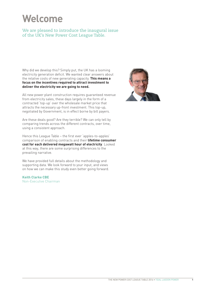## **Welcome**

We are pleased to introduce the inaugural issue of the UK's New Power Cost League Table.

Why did we develop this? Simply put, the UK has a looming electricity generation deficit. We wanted clear answers about the relative costs of new generating capacity. **This means a focus on the incentives required to attract investment to deliver the electricity we are going to need.**

All new power plant construction requires guaranteed revenue from electricity sales, these days largely in the form of a contracted 'top-up' over the wholesale market price that attracts the necessary up-front investment. This top-up, negotiated by Government, is in effect borne by bill payers.

Are these deals good? Are they terrible? We can only tell by comparing trends across the different contracts, over time, using a consistent approach.

Hence this League Table – the first ever 'apples-to-apples' comparison of enabling contracts and their **lifetime consumer cost for each delivered megawatt hour of electricity**. Looked at this way, there are some surprising differences to the prevailing narrative.

We have provided full details about the methodology and supporting data. We look forward to your input, and views on how we can make this study even better going forward.

**Keith Clarke CBE**  Non-Executive Chairman

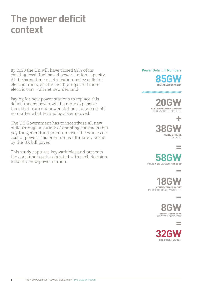### **The power deficit context**

By 2030 the UK will have closed 82% of its existing fossil fuel based power station capacity. At the same time electrification policy calls for electric trains, electric heat pumps and more electric cars – all net new demand.

Paying for new power stations to replace this deficit means power will be more expensive than that from old power stations, long paid-off, no matter what technology is employed.

The UK Government has to incentivise all new build through a variety of enabling contracts that pay the generator a premium over the wholesale cost of power. This premium is ultimately borne by the UK bill payer.

This study captures key variables and presents the consumer cost associated with each decision to back a new power station.

**Power Deficit in Numbers**



, aaaaaaaaaaaaaaaaaaaaaaa



**+ 38GW** GOING OFFLINE (COAL ETC.)

**= 58GW** 

**–**

**–**

**18GW** (NUCLEAR, TIDAL, WIND, ETC.)

> **8GW** (NOT YET CONSENTED)

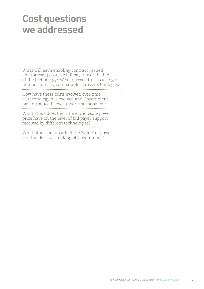### **Cost questions we addressed**

What will each enabling contract (issued and forecast) cost the bill payer over the life of the technology? We expressed this as a single number, directly comparable across technologies. How have these costs evolved over time as technology has evolved and Government has introduced new support mechanisms?

What effect does the future wholesale power price have on the level of bill payer support received by different technologies? What other factors affect the 'value' of power and the decision-making of Government?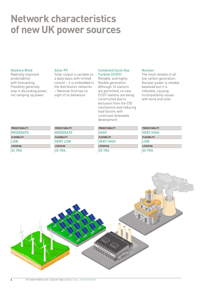### **Network characteristics of new UK power sources**

#### **Onshore Wind**

Radically improved predictability with forecasting. Flexibility generally only in discarding power, not ramping up power

#### **Solar PV**

Solar output is variable on a daily basis with limited control – it is embedded in the distribution networks – National Grid has no sight of its behaviour

#### **Combined Cycle Gas Turbine (CCGT)**

Reliable, and highly flexible generation. Although 14 stations are permitted, no new CCGT stations are being constructed due to exclusion from the CfD mechanism and reducing load factors with continued renewable development

#### **Nuclear**

The most reliable of all low carbon generation. Nuclear power is reliable baseload but it is inflexible, causing incompatibility issues with wind and solar

| <b>PREDICTABILITY</b> | <b>PREDICTABILITY</b> | <b>PREDICTABILITY</b> | <b>PREDICTABILITY</b> |
|-----------------------|-----------------------|-----------------------|-----------------------|
| <b>MODERATE</b>       | <b>MODERATE</b>       | HIGH                  | <b>VERY HIGH</b>      |
| <b>FLEXIBILITY</b>    | <b>FLEXIBILITY</b>    | <b>FLEXIBILITY</b>    | <b>FLEXIBILITY</b>    |
| <b>LOW</b>            | <b>NERY LOW</b>       | <b>IVERY HIGH</b>     | <b>LOW</b>            |
| <b>LIFESPAN</b>       | <b>LIFESPAN</b>       | <b>LIFESPAN</b>       | <b>LIFESPAN</b>       |
| <b>24 YRS</b>         | <b>25 YRS</b>         | <b>25 YRS</b>         | <b>60 YRS</b>         |

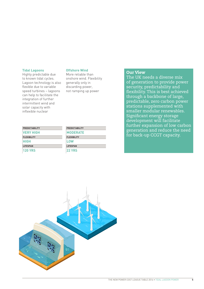#### **Tidal Lagoons**

Highly predictable due to known tidal cycles. Lagoon technology is also flexible due to variable speed turbines – lagoons can help to facilitate the integration of further intermittent wind and solar capacity with inflexible nuclear

#### **Offshore Wind**

More reliable than onshore wind. Flexibility generally only in discarding power, not ramping up power

#### Our View

The UK needs a diverse mix of generation to provide power security, predictability and flexibility. This is best achieved through a backbone of large, predictable, zero carbon power stations supplemented with smaller modular renewables. Significant energy storage development will facilitate further expansion of low carbon generation and reduce the need for back-up CCGT capacity.

| <b>PREDICTABILITY</b> | <b>PREI</b> |
|-----------------------|-------------|
| <b>VERY HIGH</b>      | IMO         |
| <b>FLEXIBILITY</b>    | FLE)        |
| <b>HIGH</b>           | LO)         |
| <b>LIFESPAN</b>       | LIFE.       |
| 120 YRS               | 22          |

| <b>PREDICTABILITY</b> |  |
|-----------------------|--|
| <b>MODERATE</b>       |  |
| <b>FLEXIBILITY</b>    |  |
| LOW                   |  |
| <b>LIFESPAN</b>       |  |
| <b>22 YRS</b>         |  |

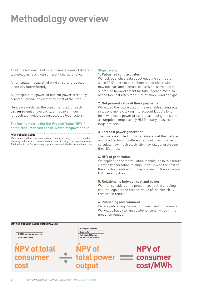# **Methodology overview**

The UK's National Grid must manage a mix of different technologies, each with different characteristics.

A nameplate megawatt of wind or solar produces electricity intermittently.

A nameplate megawatt of nuclear power is reliably constant, producing electricity most of the time.

Hence we modelled the consumer cost for each **delivered** unit of electricity, a megawatt hour, for each technology, using accepted load factors.

#### **The key number is the Net Present Value (NPV)\* of the consumer cost per delivered megawatt hour.**

### \*NET PRESENT VALUE<br>\*NET PRESENT VALUE

Widely used method of presenting future money in today's terms. The value of money in the future is discounted each year to bring it into a present value. The further in the future money is paid or recieved, the less value it has today.

#### **Step-by-step**

#### **1. Published contract rates**

We took published data about enabling contracts since 2012 – for solar, onshore and offshore wind, new nuclear, and biomass conversion, as well as data submitted to Government for tidal lagoons. We also added forecast rates for future offshore wind and gas.

#### **2. Net present value of those payments**

We valued the future cost of these enabling contracts in today's money, taking into account DECC's long term wholesale power price forecast, using the same assumptions employed by HM Treasury to assess large projects.

#### **3. Forecast power generation**

Then we assembled published data about the lifetime and 'load factors' of different technologies in order to calculate how much electricity they will generate over their lifetimes.

#### **4. NPV of generation**

We applied the same valuation techniques to this future electricity generation to align its value with the cost of the enabling contract in today's terms, in the same way HM Treasury does.

#### **5. Relationship between cost and power**

We then considered the present cost of the enabling contract against the present value of the electricity received in return.

#### **6. Publishing and comment**

We are publishing the assumptions used in the model. We will be happy to run additional sensitivities in the model on request.

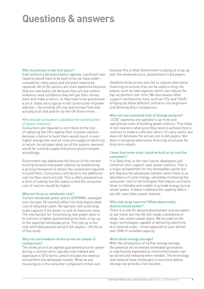## **Questions & answers**

#### **Why incentivise in the first place?**

Even without a decarbonisation agenda, significant new capacity would have to be built since we have underinvested for many years and old plant need to be replaced. All of the options are more expensive because they are new build, not because they are low carbon. Investors need confidence they will get their money back and make a return, so they have to be guaranteed a price. State aid is typical in the construction of power stations – the existing UK coal and nuclear fleet was actually built and paid for by the UK Government.

#### **Why should consumers subsidise the construction of power stations?**

Consumers are required to contribute to the cost of replacing the UK's ageing fleet of power stations because a failure to build them would result in even higher energy bills and an insecure supply of electricity in return. As old plant drop out of the system, demand would far outstrip supply and prices would escalate accordingly.

Government has addressed the failure of the market to bring forward new power stations by establishing a pricing framework to attract the investment required to build them. Consumers contribute to the additional cost via their electricity bill. This is often presented as a form of subsidy but the reality is that the consumer cost of inaction would be higher.

#### **Why not focus on wholesale cost?**

Current wholesale power prices (£39/MWh, averaged over the past 18 months) reflect the fully depreciated cost of old power plant. No operator will build large scale capacity if the power is sold at these low rates. The mechanism for incentivising new power plant is to contract a higher guaranteed price level, a top-up to the expected wholesale price. This top-up is the cost ultimately passed along to bill payers – the focus of this study.

#### **Why not use headline strike prices as a basis of comparison?**

The strike price is an agreed guaranteed price for power during a contract term, typically fully indexed and expressed in 2012 terms, which includes the revenue earned from the wholesale market. What we are focussing on is the consumer component of that cost,

because this is what Government is paying as a top-up over the wholesale price, passed back to bill payers.

Headline strike prices also fail to capture alternative financing structures that can be used on long-life assets, such as tidal lagoons, which can reduce the top-up element over time. We also assess other support mechanisms here, such as FiTs and FIDeR, bringing all these different contracts into alignment and allowing direct comparison.

#### **Why not use Levelised Cost of Energy analysis?**

'LCOE' examines the operator's up-front and operational costs of building power stations. This helps to tell investors what price they need to achieve from a contract to make a sufficient return. It's very useful, but does not delineate the actual cost to bill payers. Nor does it recognise alternative financing structures for long-term assets.

#### **I hear that some solar could be built at no cost the consumer?**

It is likely that, in the near future, developers will construct zero-support solar power stations. This is a major achievement for the renewables sector but will depress the wholesale markets when there is an abundance of solar energy, ultimately increasing the consumer cost for technologies that require contracts. Solar is inflexible and unable to provide energy during winter peaks. It doesn't address the capacity deficit – we still need other power stations.

#### **Why only large sources? What about small, decentralised power?**

There is a role for decentralised power and we expect to see more, but the UK still needs a backbone of large, low carbon power plant. We focused on the major technologies capable of delivering electricity at a national scale – those expected to soon deliver over 2GW of installed capacity.

#### **What about energy storage?**

With the introduction of further energy storage, the potential for increased renewable generation is significantly expanded as intermittent power can be stored and released when needed. The technology and network have challenges to overcome before storage can provide a full solution.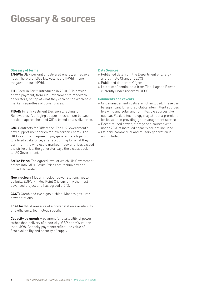# **Glossary & sources**

#### **Glossary of terms**

**£/MWh:** GBP per unit of delivered energy, a megawatt hour. There are 1,000 kilowatt hours (kWh) in one megawatt hour (MWh).

**FiT:** Feed-in Tariff. Introduced in 2010, FiTs provide a fixed payment, from UK Government to renewable generators, on top of what they earn on the wholesale market, regardless of power prices.

**FIDeR:** Final Investment Decision Enabling for Renewables. A bridging support mechanism between previous approaches and CfDs, based on a strike price.

**CfD:** Contracts for Difference. The UK Government's new support mechanism for low carbon energy. The UK Government agrees to pay generators a top-up to a fixed strike price, after accounting for what they earn from the wholesale market. If power prices exceed the strike price, the generator pays the excess back to UK Government.

**Strike Price:** The agreed level at which UK Government enters into CfDs. Strike Prices are technology and project dependent.

**New nuclear:** Modern nuclear power stations, yet to be built. EDF's Hinkley Point C is currently the most advanced project and has agreed a CfD.

**CCGT:** Combined cycle gas turbine. Modern gas-fired power stations.

**Load factor:** A measure of a power station's availability and efficiency, technology specific.

**Capacity payment:** A payment for availability of power rather than delivery of electricity: GBP per MW rather than MWh. Capacity payments reflect the value of firm availability and security of supply.

#### **Data Sources**

- Published data from the Department of Energy and Climate Change (DECC)
- <sup>l</sup> Published data from Ofgem
- Latest confidential data from Tidal Lagoon Power, currently under review by DECC

#### **Comments and caveats**

- <sup>l</sup> Grid management costs are not included. These can be significant for unpredictable intermittent sources like wind and solar and for inflexible sources like nuclear. Flexible technology may attract a premium for its value in providing grid management services
- **Decentralised power, storage and sources with** under 2GW of installed capacity are not included
- Off-grid, commercial and military generation is not included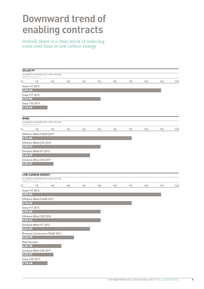### **Downward trend of enabling contracts**

Overall, there is a clear trend of reducing costs over time in low carbon energy

|             | <b>SOLAR PV</b><br>UK ENERGY CONSUMER COST OVER LIFETIME                                 |    |    |    |    |    |    |    |    |     |
|-------------|------------------------------------------------------------------------------------------|----|----|----|----|----|----|----|----|-----|
| $\mathbb O$ | £/MWh (2012 prices)<br>10                                                                | 20 | 30 | 40 | 50 | 60 | 70 | 80 | 90 | 100 |
|             | Solar FiT 2012<br>E89.00                                                                 |    |    |    |    |    |    |    |    |     |
|             | Solar FiT 2015<br>£50.88                                                                 |    |    |    |    |    |    |    |    |     |
|             | Solar CfD 2017<br>£18.68                                                                 |    |    |    |    |    |    |    |    |     |
| <b>WIND</b> | UK ENERGY CONSUMER COST OVER LIFETIME                                                    |    |    |    |    |    |    |    |    |     |
|             | £/MWh (2012 prices)                                                                      |    |    |    |    |    |    |    |    |     |
| 0           | 10                                                                                       | 20 | 30 | 40 | 50 | 60 | 70 | 80 | 90 | 100 |
|             | Offshore Wind FIDeR 2017                                                                 |    |    |    |    |    |    |    |    |     |
|             | £74.04                                                                                   |    |    |    |    |    |    |    |    |     |
|             | Offshore Wind CfD 2018<br>£50.33                                                         |    |    |    |    |    |    |    |    |     |
|             | Onshore Wind FiT 2012                                                                    |    |    |    |    |    |    |    |    |     |
|             | £43.37                                                                                   |    |    |    |    |    |    |    |    |     |
|             | Onshore Wind CfD 2019                                                                    |    |    |    |    |    |    |    |    |     |
|             | £20.07                                                                                   |    |    |    |    |    |    |    |    |     |
|             | <b>LOW CARBON ENERGY</b><br>UK ENERGY CONSUMER COST OVER LIFETIME<br>£/MWh (2012 prices) |    |    |    |    |    |    |    |    |     |
| $\mathbf 0$ | 10 <sub>1</sub>                                                                          | 20 | 30 | 40 | 50 | 60 | 70 | 80 | 90 | 100 |
|             | Solar FiT 2012<br>£89.00                                                                 |    |    |    |    |    |    |    |    |     |
|             | Offshore Wind FIDeR 2017<br>£74.04                                                       |    |    |    |    |    |    |    |    |     |
|             | Solar FiT 2015<br>£50.88                                                                 |    |    |    |    |    |    |    |    |     |
|             | Offshore Wind CfD 2018<br>£50.33                                                         |    |    |    |    |    |    |    |    |     |
|             | Onshore Wind FiT 2012<br>£43.37                                                          |    |    |    |    |    |    |    |    |     |
|             | <b>Biomass Conversion FIDeR 2016</b><br>£32.99                                           |    |    |    |    |    |    |    |    |     |
|             | New Nuclear<br>£25.78                                                                    |    |    |    |    |    |    |    |    |     |
|             | Onshore Wind CfD 2019                                                                    |    |    |    |    |    |    |    |    |     |
|             | £20.07<br>Solar CfD 2017                                                                 |    |    |    |    |    |    |    |    |     |
|             | £18.68                                                                                   |    |    |    |    |    |    |    |    |     |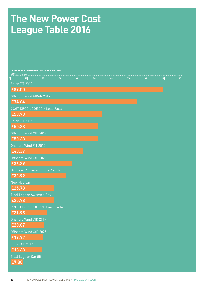### **The New Power Cost League Table 2016**

| UK ENERGY CONSUMER COST OVER LIFETIME<br>£/MWh (2012 prices) |    |    |    |    |    |    |    |
|--------------------------------------------------------------|----|----|----|----|----|----|----|
| 10<br>20                                                     | 30 | 40 | 50 | 60 | 70 | 80 | 90 |
| Solar FiT 2012                                               |    |    |    |    |    |    |    |
| £89.00                                                       |    |    |    |    |    |    |    |
| Offshore Wind FIDeR 2017                                     |    |    |    |    |    |    |    |
| £74.04                                                       |    |    |    |    |    |    |    |
| CCGT DECC LCOE 20% Load Factor                               |    |    |    |    |    |    |    |
| £53.73                                                       |    |    |    |    |    |    |    |
| Solar FiT 2015<br>£50.88                                     |    |    |    |    |    |    |    |
| Offshore Wind CfD 2018                                       |    |    |    |    |    |    |    |
| £50.33                                                       |    |    |    |    |    |    |    |
| Onshore Wind FiT 2012                                        |    |    |    |    |    |    |    |
| £43.37                                                       |    |    |    |    |    |    |    |
| Offshore Wind CfD 2020                                       |    |    |    |    |    |    |    |
| £36.39                                                       |    |    |    |    |    |    |    |
| <b>Biomass Conversion FIDeR 2016</b>                         |    |    |    |    |    |    |    |
| £32.99                                                       |    |    |    |    |    |    |    |
| <b>New Nuclear</b>                                           |    |    |    |    |    |    |    |
| £25.78                                                       |    |    |    |    |    |    |    |
| Tidal Lagoon Swansea Bay                                     |    |    |    |    |    |    |    |
| £25.78                                                       |    |    |    |    |    |    |    |
| CCGT DECC LCOE 93% Load Factor                               |    |    |    |    |    |    |    |
| £21.95                                                       |    |    |    |    |    |    |    |
| Onshore Wind CfD 2019<br>£20.07                              |    |    |    |    |    |    |    |
| Offshore Wind CfD 2025                                       |    |    |    |    |    |    |    |
| £19.72                                                       |    |    |    |    |    |    |    |
| Solar CfD 2017                                               |    |    |    |    |    |    |    |
| £18.68                                                       |    |    |    |    |    |    |    |
| <b>Tidal Lagoon Cardiff</b>                                  |    |    |    |    |    |    |    |
| £7.80                                                        |    |    |    |    |    |    |    |
|                                                              |    |    |    |    |    |    |    |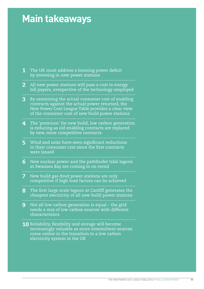# **Main takeaways**

| $\overline{\mathbf{1}}$ | The UK must address a looming power deficit<br>by investing in new power stations                                                                                                                              |
|-------------------------|----------------------------------------------------------------------------------------------------------------------------------------------------------------------------------------------------------------|
| $\overline{2}$          | All new power stations will pass a cost to energy<br>bill payers, irrespective of the technology employed                                                                                                      |
| 3                       | By examining the actual consumer cost of enabling<br>contracts against the actual power returned, the<br>New Power Cost League Table provides a clear view<br>of the consumer cost of new build power stations |
| 4                       | The 'premium' for new build, low carbon generation<br>is reducing as old enabling contracts are replaced<br>by new, more competitive contracts                                                                 |
| 5                       | Wind and solar have seen significant reductions<br>in their consumer cost since the first contracts<br>were issued                                                                                             |
| $6\overline{6}$         | New nuclear power and the pathfinder tidal lagoon<br>at Swansea Bay are coming in on-trend                                                                                                                     |
| 7                       | New build gas-fired power stations are only<br>competitive if high load factors can be achieved                                                                                                                |
| 8                       | The first large scale lagoon at Cardiff generates the<br>cheapest electricity of all new build power stations                                                                                                  |
| 9                       | Not all low carbon generation is equal - the grid<br>needs a mix of low carbon sources with different<br>characteristics                                                                                       |
|                         | 10 Reliability, flexibility and storage will become<br>increasingly valuable as more intermittent sources<br>come online in the transition to a low carbon<br>electricity system in the UK                     |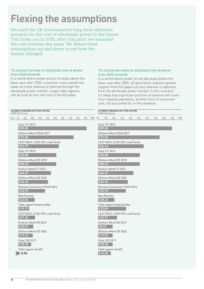# **Flexing the assumptions**

We used the UK Government's long term reference scenario for the cost of wholesale power in the future. This looks out to 2035, after this point we assumed the cost remains the same. We flexed these assumptions up and down to see how the results changed.

#### **1% annual increase in wholesale cost of power from 2035 onwards**

In a world where power prices increase above the base case after 2035, consumer costs overall are lower as more revenue is claimed through the wholesale power market. Larger tidal lagoons can be built at zero net cost to the bill payer.

#### **1% annual decrease in wholesale cost of power from 2035 onwards**

In a world where power prices decrease below the base case after 2035, all generation requires greater support from bill payers as less revenue is captured from the wholesale power market. In this scenario it's likely that significant portions of revenue will come from capacity payments, another form of consumer cost, not accounted for in this analysis.

| UK ENERGY CONSUMER COST OVER LIFETIME<br>£/MWh (2012 prices) |                                      |    |    |    |    |    |    |     |                                       | UK ENERGY CONSUMER COST OVER LIFETIME<br>£/MWh (2012 prices) |                 |    |                 |    |    |    |    |    |     |
|--------------------------------------------------------------|--------------------------------------|----|----|----|----|----|----|-----|---------------------------------------|--------------------------------------------------------------|-----------------|----|-----------------|----|----|----|----|----|-----|
| $-10$ 0<br>10                                                | 20<br>30                             | 40 | 50 | 60 | 70 | 80 | 90 | 100 | $\begin{array}{c} 0 \\ 0 \end{array}$ | 10                                                           | 20 <sub>1</sub> | 30 | 40 <sub>1</sub> | 50 | 60 | 70 | 80 | 90 | 100 |
| Solar FiT 2012<br>E89.00                                     |                                      |    |    |    |    |    |    |     |                                       | Solar FiT 2012<br>£89.00                                     |                 |    |                 |    |    |    |    |    |     |
| £74.04                                                       | Offshore Wind FIDeR 2017             |    |    |    |    |    |    |     |                                       | Offshore Wind FIDeR 2017<br>£74.04                           |                 |    |                 |    |    |    |    |    |     |
| £52.97                                                       | CCGT DECC LCOE 20% Load Factor       |    |    |    |    |    |    |     |                                       | CCGT DECC LCOE 20% Load Factor<br>£54.44                     |                 |    |                 |    |    |    |    |    |     |
| Solar FiT 2015<br>E50.88                                     |                                      |    |    |    |    |    |    |     |                                       | Solar FiT 2015<br>£50.88                                     |                 |    |                 |    |    |    |    |    |     |
| E50.33                                                       | Offshore Wind CfD 2018               |    |    |    |    |    |    |     |                                       | Offshore Wind CfD 2018<br>£50.33                             |                 |    |                 |    |    |    |    |    |     |
| £43.37                                                       | Onshore Wind FiT 2012                |    |    |    |    |    |    |     |                                       | Onshore Wind FiT 2012<br>£43.37                              |                 |    |                 |    |    |    |    |    |     |
| £36.39                                                       | Offshore Wind CfD 2020               |    |    |    |    |    |    |     |                                       | Offshore Wind CfD 2020<br>£36.39                             |                 |    |                 |    |    |    |    |    |     |
| £32.99                                                       | <b>Biomass Conversion FIDeR 2016</b> |    |    |    |    |    |    |     |                                       | <b>Biomass Conversion FIDeR 2016</b><br>£32.99               |                 |    |                 |    |    |    |    |    |     |
| New Nuclear<br>£22.84                                        |                                      |    |    |    |    |    |    |     |                                       | New Nuclear<br>£28.32                                        |                 |    |                 |    |    |    |    |    |     |
| £15.17                                                       | Tidal Lagoon Swansea Bay             |    |    |    |    |    |    |     |                                       | Tidal Lagoon Swansea Bay<br>£32.89                           |                 |    |                 |    |    |    |    |    |     |
| E21.36                                                       | CCGT DECC LCOE 93% Load Factor       |    |    |    |    |    |    |     |                                       | CCGT DECC LCOE 93% Load Factor<br>£22.51                     |                 |    |                 |    |    |    |    |    |     |
| £20.07                                                       | Onshore Wind CfD 2019                |    |    |    |    |    |    |     |                                       | Onshore Wind CfD 2019<br>20.07                               |                 |    |                 |    |    |    |    |    |     |
| £19.49                                                       | Offshore Wind CfD 2025               |    |    |    |    |    |    |     |                                       | Offshore Wind CfD 2025<br>£19.94                             |                 |    |                 |    |    |    |    |    |     |
| Solar CfD 2017<br>£18.68                                     |                                      |    |    |    |    |    |    |     |                                       | Solar CfD 2017<br>£18.68                                     |                 |    |                 |    |    |    |    |    |     |
| $E - 3.94$                                                   | Tidal Lagoon Cardiff                 |    |    |    |    |    |    |     |                                       | <b>Tidal Lagoon Cardiff</b><br>£15.65                        |                 |    |                 |    |    |    |    |    |     |
|                                                              |                                      |    |    |    |    |    |    |     |                                       |                                                              |                 |    |                 |    |    |    |    |    |     |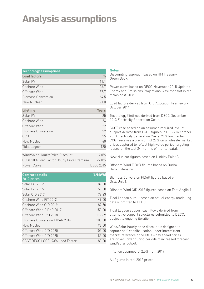# **Analysis assumptions**

| <b>Technology assumptions</b> |               |  |  |  |  |
|-------------------------------|---------------|--|--|--|--|
| <b>Load factors</b>           | $\frac{0}{0}$ |  |  |  |  |
| Solar PV                      | 11 1          |  |  |  |  |
| Onshore Wind                  | 267           |  |  |  |  |
| Offshore Wind                 | 377           |  |  |  |  |
| <b>Biomass Conversion</b>     | 64.5          |  |  |  |  |
| New Nuclear                   | 91 N          |  |  |  |  |

| <b>Lifetime</b>                           | <b>Years</b>     |
|-------------------------------------------|------------------|
| Solar PV                                  | 25               |
| Onshore Wind                              | 24               |
| Offshore Wind                             | 22               |
| Biomass Conversion                        | 22               |
| <b>CCGT</b>                               | 25               |
| New Nuclear                               | 60               |
| Tidal Lagoon                              | 120              |
| Wind/Solar Hourly Price Discount          | $4.0\%$          |
| CCGT 20% Load Factor Hourly Price Premium | 27.0%            |
| Power Curve                               | <b>DECC 2015</b> |

| <b>Contract details</b>          | (E/MWh) |
|----------------------------------|---------|
| 2012 prices                      |         |
| Solar FiT 2012                   | 89.00   |
| Solar FiT 2015                   | 59.00   |
| Solar CfD 2017                   | 79.23   |
| Onshore Wind FiT 2012            | 49.00   |
| Onshore Wind CfD 2019            | 82.50   |
| Offshore Wind FIDeR 2017         | 150.00  |
| Offshore Wind CfD 2018           | 119.89  |
| Biomass Conversion FIDeR 2016    | 105.00  |
| New Nuclear                      | 92.50   |
| Offshore Wind CfD 2020           | 105.00  |
| Offshore Wind CfD 2025           | 85.00   |
| CCGT DECC LCOE (93% Load Factor) | 80.00   |

#### **Notes**

Discounting approach based on HM Treasury Green Book.

Power curve based on DECC November 2015 Updated Energy and Emissions Projections. Assumed flat in real terms post-2035.

Load factors derived from CfD Allocation Framework October 2014.

Technology lifetimes derived from DECC December 2013 Electricity Generation Costs.

CCGT case based on an assumed required level of support derived from LCOE figures in DECC December 2013 Electricity Generation Costs. 20% load factor CCGT receives a premium of 27% on wholesale market prices captured to reflect high-value period targeting (based on the last 24 months of market data).

New Nuclear figures based on Hinkley Point C.

Offshore Wind FIDeR figures based on Burbo Bank Extension.

Biomass Conversion FIDeR figures based on Drax Unit 1.

Offshore Wind CfD 2018 figures based on East Anglia 1.

Tidal Lagoon output based on actual energy modelling data submitted to DECC.

Tidal Lagoon support cash flows derived from alternative support structures submitted to DECC, subject to ongoing iteration.

Wind/Solar hourly price discount is designed to capture self-cannibalisation under intermittent market reference price CfDs – day ahead prices are driven lower during periods of increased forecast wind/solar output.

Inflation assumed at 2.5% from 2019.

All figures in real 2012 prices.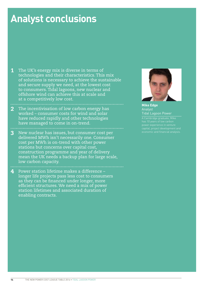### **Analyst conclusions**

**1** The UK's energy mix is diverse in terms of technologies and their characteristics. This mix of solutions is necessary to achieve the sustainable and secure supply we need, at the lowest cost to consumers. Tidal lagoons, new nuclear and offshore wind can achieve this at scale and at a competitively low cost.

- 2 The incentivisation of low carbon energy has worked – consumer costs for wind and solar have reduced rapidly and other technologies have managed to come in on-trend.
- 3 New nuclear has issues, but consumer cost per delivered MWh isn't necessarily one. Consumer cost per MWh is on-trend with other power stations but concerns over capital cost, construction programme and year of delivery mean the UK needs a backup plan for large scale, low carbon capacity.

4 Power station lifetime makes a difference – longer life projects pass less cost to consumers as they can be financed under longer, more efficient structures. We need a mix of power station lifetimes and associated duration of

enabling contracts.



**Mike Edge**  Analyst Tidal Lagoon Power

A Cambridge graduate, Mike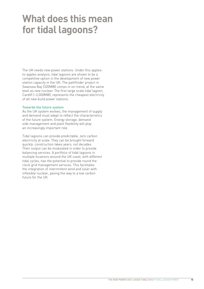### **What does this mean for tidal lagoons?**

The UK needs new power stations. Under this applesto-apples analysis, tidal lagoons are shown to be a competitive option in the development of new power station capacity in the UK. The pathfinder project in Swansea Bay (320MW) comes in on-trend, at the same level as new nuclear. The first large scale tidal lagoon, Cardiff (~3,000MW), represents the cheapest electricity of all new build power stations.

#### **Towards the future system**

As the UK system evolves, the management of supply and demand must adapt to reflect the characteristics of the future system. Energy storage, demand side management and plant flexibility will play an increasingly important role.

Tidal lagoons can provide predictable, zero carbon electricity at scale. They can be brought forward quickly: construction takes years, not decades. Their output can be modulated in order to provide balancing services. A portfolio of tidal lagoons in multiple locations around the UK coast, with different tidal cycles, has the potential to provide round the clock grid management services. This facilitates the integration of intermittent wind and solar with inflexible nuclear, paving the way to a low carbon future for the UK.